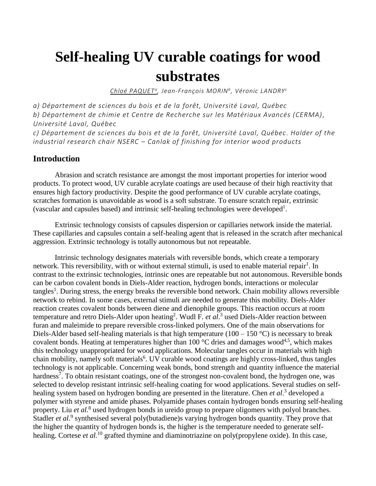# **Self-healing UV curable coatings for wood substrates**

*Chloé PAQUET <sup>a</sup> , Jean-François MORIN<sup>b</sup> , Véronic LANDRY<sup>c</sup>*

*a) Département de sciences du bois et de la forêt, Université Laval, Québec b) Département de chimie et Centre de Recherche sur les Matériaux Avancés (CERMA) , Université Laval, Québec*

*c) Département de sciences du bois et de la forêt, Université Laval, Québec. Holder of the industrial research chair NSERC – Canlak of finishing for interior wood products*

# **Introduction**

Abrasion and scratch resistance are amongst the most important properties for interior wood products. To protect wood, UV curable acrylate coatings are used because of their high reactivity that ensures high factory productivity. Despite the good performance of UV curable acrylate coatings, scratches formation is unavoidable as wood is a soft substrate. To ensure scratch repair, extrinsic (vascular and capsules based) and intrinsic self-healing technologies were developed<sup>1</sup>.

Extrinsic technology consists of capsules dispersion or capillaries network inside the material. These capillaries and capsules contain a self-healing agent that is released in the scratch after mechanical aggression. Extrinsic technology is totally autonomous but not repeatable.

Intrinsic technology designates materials with reversible bonds, which create a temporary network. This reversibility, with or without external stimuli, is used to enable material repair<sup>1</sup>. In contrast to the extrinsic technologies, intrinsic ones are repeatable but not autonomous. Reversible bonds can be carbon covalent bonds in Diels-Alder reaction, hydrogen bonds, interactions or molecular tangles<sup>1</sup>. During stress, the energy breaks the reversible bond network. Chain mobility allows reversible network to rebind. In some cases, external stimuli are needed to generate this mobility. Diels-Alder reaction creates covalent bonds between diene and dienophile groups. This reaction occurs at room temperature and retro Diels-Alder upon heating<sup>2</sup>. Wudl F. *et al*.<sup>3</sup> used Diels-Alder reaction between furan and maleimide to prepare reversible cross-linked polymers. One of the main observations for Diels-Alder based self-healing materials is that high temperature ( $100 - 150$  °C) is necessary to break covalent bonds. Heating at temperatures higher than 100  $^{\circ}$ C dries and damages wood<sup>4,5</sup>, which makes this technology unappropriated for wood applications. Molecular tangles occur in materials with high chain mobility, namely soft materials<sup>6</sup>. UV curable wood coatings are highly cross-linked, thus tangles technology is not applicable. Concerning weak bonds, bond strength and quantity influence the material hardness<sup>7</sup>. To obtain resistant coatings, one of the strongest non-covalent bond, the hydrogen one, was selected to develop resistant intrinsic self-healing coating for wood applications. Several studies on selfhealing system based on hydrogen bonding are presented in the literature. Chen *et al*. 3 developed a polymer with styrene and amide phases. Polyamide phases contain hydrogen bonds ensuring self-healing property. Liu *et al.*<sup>8</sup> used hydrogen bonds in ureido group to prepare oligomers with polyol branches. Stadler *et al.*<sup>9</sup> synthesised several poly(butadiene)s varying hydrogen bonds quantity. They prove that the higher the quantity of hydrogen bonds is, the higher is the temperature needed to generate selfhealing. Cortese *et al.*<sup>10</sup> grafted thymine and diaminotriazine on poly(propylene oxide). In this case,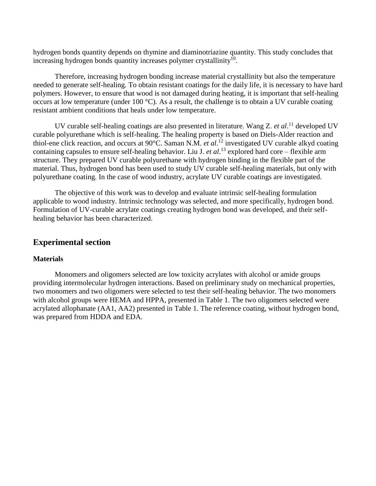hydrogen bonds quantity depends on thymine and diaminotriazine quantity. This study concludes that increasing hydrogen bonds quantity increases polymer crystallinity $10$ .

Therefore, increasing hydrogen bonding increase material crystallinity but also the temperature needed to generate self-healing. To obtain resistant coatings for the daily life, it is necessary to have hard polymers. However, to ensure that wood is not damaged during heating, it is important that self-healing occurs at low temperature (under 100  $^{\circ}$ C). As a result, the challenge is to obtain a UV curable coating resistant ambient conditions that heals under low temperature.

UV curable self-healing coatings are also presented in literature. Wang Z. *et al*. <sup>11</sup> developed UV curable polyurethane which is self-healing. The healing property is based on Diels-Alder reaction and thiol-ene click reaction, and occurs at 90°C. Saman N.M. *et al*. <sup>12</sup> investigated UV curable alkyd coating containing capsules to ensure self-healing behavior. Liu J. *et al*. <sup>13</sup> explored hard core – flexible arm structure. They prepared UV curable polyurethane with hydrogen binding in the flexible part of the material. Thus, hydrogen bond has been used to study UV curable self-healing materials, but only with polyurethane coating. In the case of wood industry, acrylate UV curable coatings are investigated.

The objective of this work was to develop and evaluate intrinsic self-healing formulation applicable to wood industry. Intrinsic technology was selected, and more specifically, hydrogen bond. Formulation of UV-curable acrylate coatings creating hydrogen bond was developed, and their selfhealing behavior has been characterized.

# **Experimental section**

### **Materials**

Monomers and oligomers selected are low toxicity acrylates with alcohol or amide groups providing intermolecular hydrogen interactions. Based on preliminary study on mechanical properties, two monomers and two oligomers were selected to test their self-healing behavior. The two monomers with alcohol groups were HEMA and HPPA, presented in [Table 1.](#page-2-0) The two oligomers selected were acrylated allophanate (AA1, AA2) presented in [Table 1.](#page-2-0) The reference coating, without hydrogen bond, was prepared from HDDA and EDA.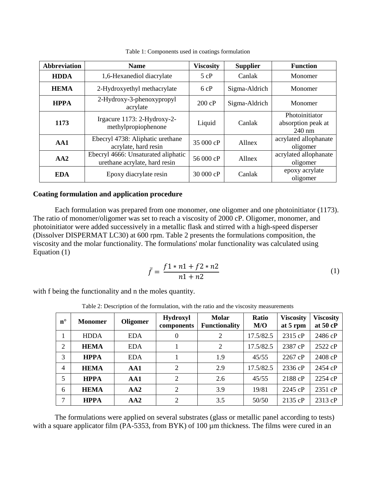<span id="page-2-0"></span>

| <b>Abbreviation</b> | <b>Name</b>                                                                                                  |  | <b>Supplier</b> | <b>Function</b>                                |
|---------------------|--------------------------------------------------------------------------------------------------------------|--|-----------------|------------------------------------------------|
| <b>HDDA</b>         | 1,6-Hexanediol diacrylate                                                                                    |  | Canlak          | Monomer                                        |
| <b>HEMA</b>         | 2-Hydroxyethyl methacrylate                                                                                  |  | Sigma-Aldrich   | Monomer                                        |
| <b>HPPA</b>         | 2-Hydroxy-3-phenoxypropyl<br>acrylate                                                                        |  | Sigma-Aldrich   | Monomer                                        |
| 1173                | Irgacure 1173: 2-Hydroxy-2-<br>methylpropiophenone                                                           |  | Canlak          | Photoinitiator<br>absorption peak at<br>240 nm |
| AA1                 | Ebecryl 4738: Aliphatic urethane<br>acrylate, hard resin                                                     |  | Allnex          | acrylated allophanate<br>oligomer              |
| AA2                 | Ebecryl 4666: Unsaturated aliphatic<br>urethane acrylate, hard resin<br>Epoxy diacrylate resin<br><b>EDA</b> |  | Allnex          | acrylated allophanate<br>oligomer              |
|                     |                                                                                                              |  | Canlak          | epoxy acrylate<br>oligomer                     |

Table 1: Components used in coatings formulation

### **Coating formulation and application procedure**

Each formulation was prepared from one monomer, one oligomer and one photoinitiator (1173). The ratio of monomer/oligomer was set to reach a viscosity of 2000 cP. Oligomer, monomer, and photoinitiator were added successively in a metallic flask and stirred with a high-speed disperser (Dissolver DISPERMAT LC30) at 600 rpm. [Table 2](#page-2-1) presents the formulations composition, the viscosity and the molar functionality. The formulations' molar functionality was calculated using Equation [\(1\)](#page-2-2)

<span id="page-2-2"></span>
$$
\bar{f} = \frac{f1 * n1 + f2 * n2}{n1 + n2} \tag{1}
$$

<span id="page-2-1"></span>with f being the functionality and n the moles quantity.

Table 2: Description of the formulation, with the ratio and the viscosity measurements

| $n^{\circ}$ | <b>Monomer</b> | Oligomer   | <b>Hydroxyl</b><br>components | <b>Molar</b><br><b>Functionality</b> | Ratio<br>M/O | <b>Viscosity</b><br>at 5 rpm | <b>Viscosity</b><br>at 50 cP |
|-------------|----------------|------------|-------------------------------|--------------------------------------|--------------|------------------------------|------------------------------|
| 1           | <b>HDDA</b>    | <b>EDA</b> | $\Omega$                      | 2                                    | 17.5/82.5    | 2315 cP                      | 2486 cP                      |
| 2           | <b>HEMA</b>    | <b>EDA</b> |                               | 2                                    | 17.5/82.5    | 2387 cP                      | 2522 cP                      |
| 3           | <b>HPPA</b>    | <b>EDA</b> |                               | 1.9                                  | 45/55        | 2267 cP                      | 2408 cP                      |
| 4           | <b>HEMA</b>    | AA1        | $\mathcal{D}_{\mathcal{L}}$   | 2.9                                  | 17.5/82.5    | 2336 cP                      | 2454 cP                      |
| 5           | <b>HPPA</b>    | AA1        | 2                             | 2.6                                  | 45/55        | 2188 cP                      | 2254 cP                      |
| 6           | <b>HEMA</b>    | AA2        | 2                             | 3.9                                  | 19/81        | 2245 cP                      | 2351 cP                      |
| 7           | <b>HPPA</b>    | AA2        | 2                             | 3.5                                  | 50/50        | 2135 cP                      | 2313 cP                      |

The formulations were applied on several substrates (glass or metallic panel according to tests) with a square applicator film (PA-5353, from BYK) of 100  $\mu$ m thickness. The films were cured in an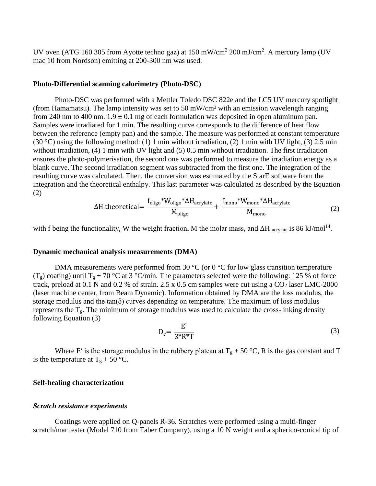UV oven (ATG 160 305 from Ayotte techno gaz) at  $150 \text{ mW/cm}^2$  200 mJ/cm<sup>2</sup>. A mercury lamp (UV mac 10 from Nordson) emitting at 200-300 nm was used.

### **Photo-Differential scanning calorimetry (Photo-DSC)**

Photo-DSC was performed with a Mettler Toledo DSC 822e and the LC5 UV mercury spotlight (from Hamamatsu). The lamp intensity was set to 50 mW/cm² with an emission wavelength ranging from 240 nm to 400 nm.  $1.9 \pm 0.1$  mg of each formulation was deposited in open aluminum pan. Samples were irradiated for 1 min. The resulting curve corresponds to the difference of heat flow between the reference (empty pan) and the sample. The measure was performed at constant temperature (30 °C) using the following method: (1) 1 min without irradiation, (2) 1 min with UV light, (3) 2.5 min without irradiation, (4) 1 min with UV light and (5) 0.5 min without irradiation. The first irradiation ensures the photo-polymerisation, the second one was performed to measure the irradiation energy as a blank curve. The second irradiation segment was subtracted from the first one. The integration of the resulting curve was calculated. Then, the conversion was estimated by the StarE software from the integration and the theoretical enthalpy. This last parameter was calculated as described by the Equation [\(2\)](#page-3-0)

$$
\Delta H \text{ theoretical} = \frac{f_{\text{oligo}} * W_{\text{oligo}} * \Delta H_{\text{acrylate}}}{M_{\text{oligo}}} + \frac{f_{\text{mono}} * W_{\text{mono}} * \Delta H_{\text{acrylate}}}{M_{\text{mono}}}
$$
(2)

with f being the functionality, W the weight fraction, M the molar mass, and  $\Delta H$  acrylate is 86 kJ/mol<sup>14</sup>.

### **Dynamic mechanical analysis measurements (DMA)**

DMA measurements were performed from 30  $\degree$ C (or 0  $\degree$ C for low glass transition temperature  $(T_g)$  coating) until  $T_g + 70$  °C at 3 °C/min. The parameters selected were the following: 125 % of force track, preload at 0.1 N and 0.2 % of strain.  $2.5 \times 0.5$  cm samples were cut using a  $CO<sub>2</sub>$  laser LMC-2000 (laser machine center, from Beam Dynamic). Information obtained by DMA are the loss modulus, the storage modulus and the tan $(\delta)$  curves depending on temperature. The maximum of loss modulus represents the  $T_g$ . The minimum of storage modulus was used to calculate the cross-linking density following Equation [\(3\)](#page-3-1)

<span id="page-3-1"></span><span id="page-3-0"></span>
$$
D_c = \frac{E'}{3^*R^*T}
$$
 (3)

Where E' is the storage modulus in the rubbery plateau at  $T_g + 50$  °C, R is the gas constant and T is the temperature at  $T_g + 50$  °C.

### **Self-healing characterization**

### *Scratch resistance experiments*

Coatings were applied on Q-panels R-36. Scratches were performed using a multi-finger scratch/mar tester (Model 710 from Taber Company), using a 10 N weight and a spherico-conical tip of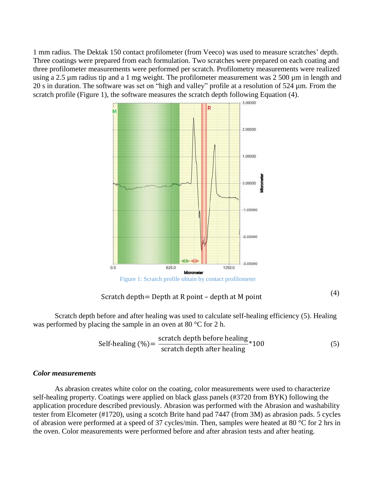1 mm radius. The Dektak 150 contact profilometer (from Veeco) was used to measure scratches' depth. Three coatings were prepared from each formulation. Two scratches were prepared on each coating and three profilometer measurements were performed per scratch. Profilometry measurements were realized using a 2.5 µm radius tip and a 1 mg weight. The profilometer measurement was 2 500 µm in length and 20 s in duration. The software was set on "high and valley" profile at a resolution of 524 µm. From the scratch profile [\(Figure 1\)](#page-4-0), the software measures the scratch depth following Equation [\(4\).](#page-4-1)



# <span id="page-4-1"></span>Scratch depth= Depth at R point – depth at M point  $(4)$

<span id="page-4-0"></span>Scratch depth before and after healing was used to calculate self-healing efficiency [\(5\).](#page-4-2) Healing was performed by placing the sample in an oven at 80 °C for 2 h.

<span id="page-4-2"></span>Self-healing (
$$
\%
$$
) =  $\frac{\text{sratch depth before healing}}{\text{sratch depth after healing}} * 100$  (5)

### *Color measurements*

As abrasion creates white color on the coating, color measurements were used to characterize self-healing property. Coatings were applied on black glass panels (#3720 from BYK) following the application procedure described previously. Abrasion was performed with the Abrasion and washability tester from Elcometer (#1720), using a scotch Brite hand pad 7447 (from 3M) as abrasion pads. 5 cycles of abrasion were performed at a speed of 37 cycles/min. Then, samples were heated at 80 °C for 2 hrs in the oven. Color measurements were performed before and after abrasion tests and after heating.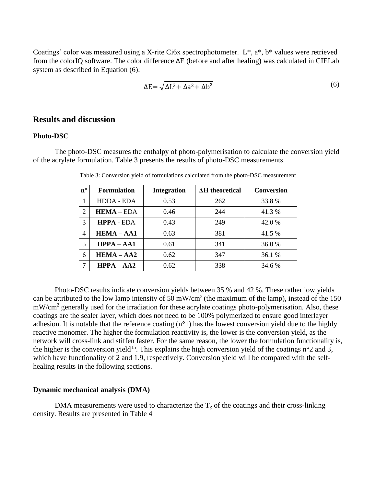Coatings' color was measured using a X-rite Ci6x spectrophotometer. L\*, a\*, b\* values were retrieved from the colorIQ software. The color difference ΔE (before and after healing) was calculated in CIELab system as described in Equation [\(6\):](#page-5-0)

<span id="page-5-0"></span>
$$
\Delta E = \sqrt{\Delta L^2 + \Delta a^2 + \Delta b^2} \tag{6}
$$

# **Results and discussion**

### **Photo-DSC**

The photo-DSC measures the enthalpy of photo-polymerisation to calculate the conversion yield of the acrylate formulation. Table 3 presents the results of photo-DSC measurements.

| $\mathbf{n}^{\circ}$ | <b>Formulation</b> | <b>Integration</b> | <b>AH</b> theoretical | <b>Conversion</b> |
|----------------------|--------------------|--------------------|-----------------------|-------------------|
|                      | <b>HDDA - EDA</b>  | 0.53               | 262                   | 33.8%             |
| 2                    | $HEMA - EDA$       | 0.46               | 244                   | 41.3%             |
| 3                    | <b>HPPA - EDA</b>  | 0.43               | 249                   | 42.0%             |
| 4                    | $HEMA - AA1$       | 0.63               | 381                   | 41.5 %            |
| 5                    | $HPPA - AA1$       | 0.61               | 341                   | 36.0%             |
| 6                    | $HEMA - AA2$       | 0.62               | 347                   | 36.1 %            |
| 7                    | $HPPA - AA2$       | 0.62               | 338                   | 34.6 %            |

Table 3: Conversion yield of formulations calculated from the photo-DSC measurement

Photo-DSC results indicate conversion yields between 35 % and 42 %. These rather low yields can be attributed to the low lamp intensity of 50 mW/cm<sup>2</sup> (the maximum of the lamp), instead of the 150 mW/cm<sup>2</sup> generally used for the irradiation for these acrylate coatings photo-polymerisation. Also, these coatings are the sealer layer, which does not need to be 100% polymerized to ensure good interlayer adhesion. It is notable that the reference coating (n°1) has the lowest conversion yield due to the highly reactive monomer. The higher the formulation reactivity is, the lower is the conversion yield, as the network will cross-link and stiffen faster. For the same reason, the lower the formulation functionality is, the higher is the conversion yield<sup>15</sup>. This explains the high conversion yield of the coatings  $n^{\circ}2$  and 3, which have functionality of 2 and 1.9, respectively. Conversion yield will be compared with the selfhealing results in the following sections.

### **Dynamic mechanical analysis (DMA)**

DMA measurements were used to characterize the  $T_g$  of the coatings and their cross-linking density. Results are presented in [Table 4](#page-6-0)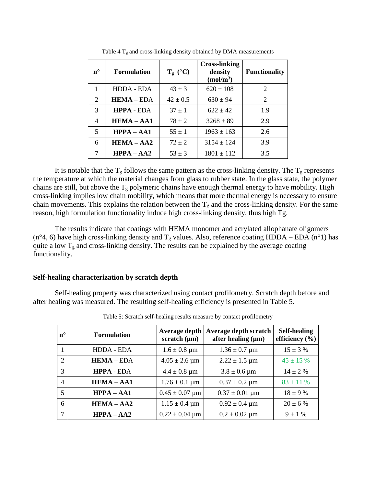<span id="page-6-0"></span>

| $n^{\circ}$ | <b>Formulation</b> | $T_{g}$ (°C) | <b>Cross-linking</b><br>density<br>(mol/m <sup>3</sup> ) | <b>Functionality</b> |
|-------------|--------------------|--------------|----------------------------------------------------------|----------------------|
|             | HDDA - EDA         | $43 \pm 3$   | $620 \pm 108$                                            | 2                    |
| 2           | $HEMA - EDA$       | $42 \pm 0.5$ | $630 \pm 94$                                             | 2                    |
| 3           | <b>HPPA - EDA</b>  | $37 \pm 1$   | $622 + 42$                                               | 1.9                  |
| 4           | $HEMA - AA1$       | $78 \pm 2$   | $3268 \pm 89$                                            | 2.9                  |
| 5           | $HPPA - AA1$       | $55 \pm 1$   | $1963 \pm 163$                                           | 2.6                  |
| 6           | $HEMA - AA2$       | $72 \pm 2$   | $3154 \pm 124$                                           | 3.9                  |
| 7           | $HPPA - AA2$       | $53 \pm 3$   | $1801 \pm 112$                                           | 3.5                  |

Table 4  $T_g$  and cross-linking density obtained by DMA measurements

It is notable that the  $T_g$  follows the same pattern as the cross-linking density. The  $T_g$  represents the temperature at which the material changes from glass to rubber state. In the glass state, the polymer chains are still, but above the  $T_g$  polymeric chains have enough thermal energy to have mobility. High cross-linking implies low chain mobility, which means that more thermal energy is necessary to ensure chain movements. This explains the relation between the  $T_g$  and the cross-linking density. For the same reason, high formulation functionality induce high cross-linking density, thus high Tg.

The results indicate that coatings with HEMA monomer and acrylated allophanate oligomers (n°4, 6) have high cross-linking density and  $T_g$  values. Also, reference coating HDDA – EDA (n°1) has quite a low  $T_g$  and cross-linking density. The results can be explained by the average coating functionality.

### **Self-healing characterization by scratch depth**

<span id="page-6-1"></span>Self-healing property was characterized using contact profilometry. Scratch depth before and after healing was measured. The resulting self-healing efficiency is presented in [Table 5.](#page-6-1)

| $n^{\circ}$    | <b>Formulation</b> | Average depth<br>scratch $(\mu m)$ | Average depth scratch<br>after healing $(\mu m)$ | <b>Self-healing</b><br>efficiency $(\% )$ |
|----------------|--------------------|------------------------------------|--------------------------------------------------|-------------------------------------------|
| 1              | <b>HDDA - EDA</b>  | $1.6 \pm 0.8 \,\mathrm{\mu m}$     | $1.36 \pm 0.7 \,\mu m$                           | $15 \pm 3 \%$                             |
| 2              | $HEMA - EDA$       | $4.05 \pm 2.6 \,\mu m$             | $2.22 \pm 1.5 \,\mu m$                           | $45 \pm 15 \%$                            |
| 3              | <b>HPPA - EDA</b>  | $4.4 \pm 0.8 \,\mathrm{\mu m}$     | $3.8 \pm 0.6 \,\mu m$                            | $14 \pm 2 \%$                             |
| $\overline{4}$ | $HEMA - AA1$       | $1.76 \pm 0.1 \,\mu m$             | $0.37 \pm 0.2 \,\mu m$                           | $83 \pm 11 \%$                            |
| 5              | $HPPA - AA1$       | $0.45 \pm 0.07 \,\mu m$            | $0.37 \pm 0.01 \,\mu m$                          | $18 \pm 9 \%$                             |
| 6              | $HEMA - AA2$       | $1.15 \pm 0.4 \,\mathrm{\mu m}$    | $0.92 \pm 0.4 \,\mathrm{\mu m}$                  | $20 \pm 6 \%$                             |
| $\mathcal{I}$  | $HPPA - AA2$       | $0.22 \pm 0.04 \,\mu m$            | $0.2 \pm 0.02 \,\mu m$                           | $9 \pm 1 \%$                              |

Table 5: Scratch self-healing results measure by contact profilometry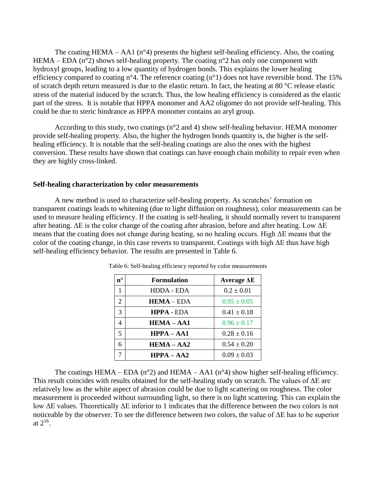The coating HEMA – AA1  $(n^{\circ}4)$  presents the highest self-healing efficiency. Also, the coating HEMA – EDA ( $n^{\circ}2$ ) shows self-healing property. The coating  $n^{\circ}2$  has only one component with hydroxyl groups, leading to a low quantity of hydrogen bonds. This explains the lower healing efficiency compared to coating n°4. The reference coating (n°1) does not have reversible bond. The 15% of scratch depth return measured is due to the elastic return. In fact, the heating at 80 °C release elastic stress of the material induced by the scratch. Thus, the low healing efficiency is considered as the elastic part of the stress. It is notable that HPPA monomer and AA2 oligomer do not provide self-healing. This could be due to steric hindrance as HPPA monomer contains an aryl group.

According to this study, two coatings (n°2 and 4) show self-healing behavior. HEMA monomer provide self-healing property. Also, the higher the hydrogen bonds quantity is, the higher is the selfhealing efficiency. It is notable that the self-healing coatings are also the ones with the highest conversion. These results have shown that coatings can have enough chain mobility to repair even when they are highly cross-linked.

### **Self-healing characterization by color measurements**

<span id="page-7-0"></span>A new method is used to characterize self-healing property. As scratches' formation on transparent coatings leads to whitening (due to light diffusion on roughness), color measurements can be used to measure healing efficiency. If the coating is self-healing, it should normally revert to transparent after heating. ΔE is the color change of the coating after abrasion, before and after heating. Low ΔE means that the coating does not change during heating, so no healing occurs. High ΔE means that the color of the coating change, in this case reverts to transparent. Coatings with high ΔE thus have high self-healing efficiency behavior. The results are presented in [Table 6.](#page-7-0)

| $\mathbf{n}^{\circ}$ | <b>Formulation</b> | Average $\Delta E$ |
|----------------------|--------------------|--------------------|
|                      | HDDA - EDA         | $0.2 \pm 0.01$     |
| 2                    | $HEMA - EDA$       | $0.95 \pm 0.05$    |
| 3                    | <b>HPPA - EDA</b>  | $0.41 \pm 0.18$    |
|                      | $HEMA - AA1$       | $0.96 \pm 0.17$    |
| 5                    | $HPPA - AA1$       | $0.28 \pm 0.16$    |
| 6                    | $HEMA - AA2$       | $0.54 \pm 0.20$    |
|                      | $HPPA - AA2$       | $0.09 \pm 0.03$    |

Table 6: Self-healing efficiency reported by color measurements

The coatings HEMA – EDA (n<sup>o</sup>2) and HEMA – AA1 (n<sup>o</sup>4) show higher self-healing efficiency. This result coincides with results obtained for the self-healing study on scratch. The values of ΔE are relatively low as the white aspect of abrasion could be due to light scattering on roughness. The color measurement is proceeded without surrounding light, so there is no light scattering. This can explain the low ΔE values. Theoretically ΔE inferior to 1 indicates that the difference between the two colors is not noticeable by the observer. To see the difference between two colors, the value of ΔE has to be superior at  $2^{16}$ .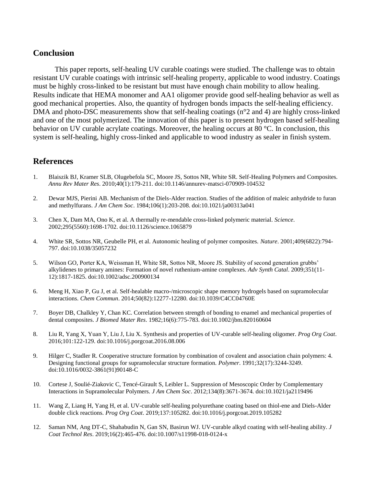# **Conclusion**

This paper reports, self-healing UV curable coatings were studied. The challenge was to obtain resistant UV curable coatings with intrinsic self-healing property, applicable to wood industry. Coatings must be highly cross-linked to be resistant but must have enough chain mobility to allow healing. Results indicate that HEMA monomer and AA1 oligomer provide good self-healing behavior as well as good mechanical properties. Also, the quantity of hydrogen bonds impacts the self-healing efficiency. DMA and photo-DSC measurements show that self-healing coatings (n°2 and 4) are highly cross-linked and one of the most polymerized. The innovation of this paper is to present hydrogen based self-healing behavior on UV curable acrylate coatings. Moreover, the healing occurs at 80 °C. In conclusion, this system is self-healing, highly cross-linked and applicable to wood industry as sealer in finish system.

# **References**

- 1. Blaiszik BJ, Kramer SLB, Olugebefola SC, Moore JS, Sottos NR, White SR. Self-Healing Polymers and Composites. *Annu Rev Mater Res*. 2010;40(1):179-211. doi:10.1146/annurev-matsci-070909-104532
- 2. Dewar MJS, Pierini AB. Mechanism of the Diels-Alder reaction. Studies of the addition of maleic anhydride to furan and methylfurans. *J Am Chem Soc*. 1984;106(1):203-208. doi:10.1021/ja00313a041
- 3. Chen X, Dam MA, Ono K, et al. A thermally re-mendable cross-linked polymeric material. *Science*. 2002;295(5560):1698-1702. doi:10.1126/science.1065879
- 4. White SR, Sottos NR, Geubelle PH, et al. Autonomic healing of polymer composites. *Nature*. 2001;409(6822):794- 797. doi:10.1038/35057232
- 5. Wilson GO, Porter KA, Weissman H, White SR, Sottos NR, Moore JS. Stability of second generation grubbs' alkylidenes to primary amines: Formation of novel ruthenium-amine complexes. *Adv Synth Catal*. 2009;351(11- 12):1817-1825. doi:10.1002/adsc.200900134
- 6. Meng H, Xiao P, Gu J, et al. Self-healable macro-/microscopic shape memory hydrogels based on supramolecular interactions. *Chem Commun*. 2014;50(82):12277-12280. doi:10.1039/C4CC04760E
- 7. Boyer DB, Chalkley Y, Chan KC. Correlation between strength of bonding to enamel and mechanical properties of dental composites. *J Biomed Mater Res*. 1982;16(6):775-783. doi:10.1002/jbm.820160604
- 8. Liu R, Yang X, Yuan Y, Liu J, Liu X. Synthesis and properties of UV-curable self-healing oligomer. *Prog Org Coat*. 2016;101:122-129. doi:10.1016/j.porgcoat.2016.08.006
- 9. Hilger C, Stadler R. Cooperative structure formation by combination of covalent and association chain polymers: 4. Designing functional groups for supramolecular structure formation. *Polymer*. 1991;32(17):3244-3249. doi:10.1016/0032-3861(91)90148-C
- 10. Cortese J, Soulié-Ziakovic C, Tencé-Girault S, Leibler L. Suppression of Mesoscopic Order by Complementary Interactions in Supramolecular Polymers. *J Am Chem Soc*. 2012;134(8):3671-3674. doi:10.1021/ja2119496
- 11. Wang Z, Liang H, Yang H, et al. UV-curable self-healing polyurethane coating based on thiol-ene and Diels-Alder double click reactions. *Prog Org Coat*. 2019;137:105282. doi:10.1016/j.porgcoat.2019.105282
- 12. Saman NM, Ang DT-C, Shahabudin N, Gan SN, Basirun WJ. UV-curable alkyd coating with self-healing ability. *J Coat Technol Res*. 2019;16(2):465-476. doi:10.1007/s11998-018-0124-x